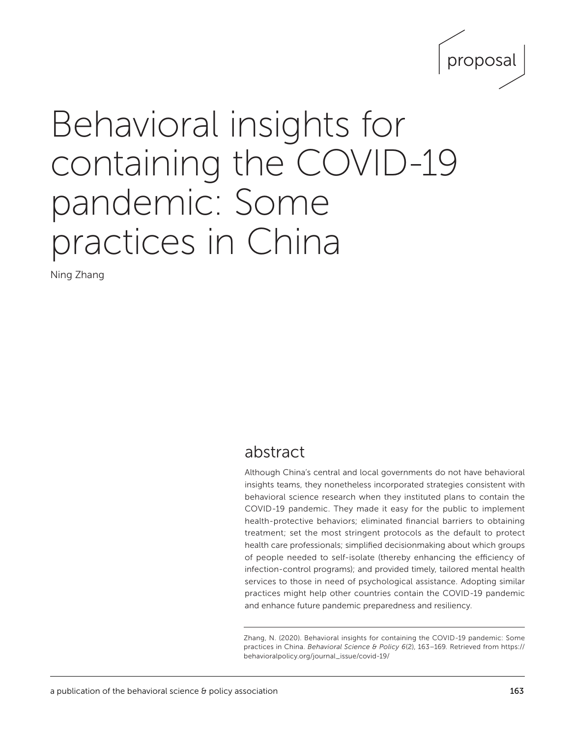

# Behavioral insights for containing the COVID-19 pandemic: Some practices in China

Ning Zhang

## abstract

Although China's central and local governments do not have behavioral insights teams, they nonetheless incorporated strategies consistent with behavioral science research when they instituted plans to contain the COVID-19 pandemic. They made it easy for the public to implement health-protective behaviors; eliminated financial barriers to obtaining treatment; set the most stringent protocols as the default to protect health care professionals; simplified decisionmaking about which groups of people needed to self-isolate (thereby enhancing the efficiency of infection-control programs); and provided timely, tailored mental health services to those in need of psychological assistance. Adopting similar practices might help other countries contain the COVID-19 pandemic and enhance future pandemic preparedness and resiliency.

Zhang, N. (2020). Behavioral insights for containing the COVID-19 pandemic: Some practices in China. *Behavioral Science & Policy 6*(2), 163–169*.* Retrieved from [https://](https://behavioralpolicy.org/journal_issue/covid-19/) [behavioralpolicy.org/journal\\_issue/covid-19/](https://behavioralpolicy.org/journal_issue/covid-19/)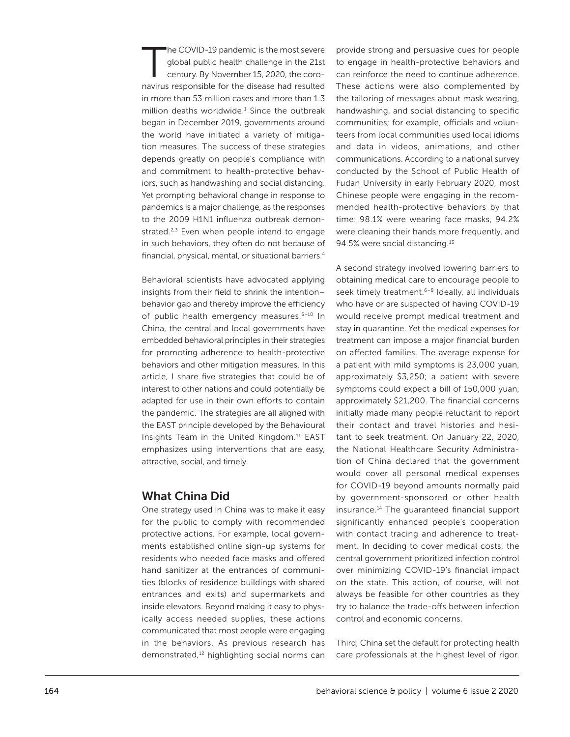The COVID-19 pandemic is the most severe<br>global public health challenge in the 21st<br>century. By November 15, 2020, the coroglobal public health challenge in the 21st century. By November 15, 2020, the coronavirus responsible for the disease had resulted in more than 53 million cases and more than 1.3 million deaths worldwide. $1$  Since the outbreak began in December 2019, governments around the world have initiated a variety of mitigation measures. The success of these strategies depends greatly on people's compliance with and commitment to health-protective behaviors, such as handwashing and social distancing. Yet prompting behavioral change in response to pandemics is a major challenge, as the responses to the 2009 H1N1 influenza outbreak demonstrated. $2,3$  Even when people intend to engage in such behaviors, they often do not because of financial, physical, mental, or situational barriers.4

Behavioral scientists have advocated applying insights from their field to shrink the intention– behavior gap and thereby improve the efficiency of public health emergency measures.<sup>5-10</sup> In China, the central and local governments have embedded behavioral principles in their strategies for promoting adherence to health-protective behaviors and other mitigation measures. In this article, I share five strategies that could be of interest to other nations and could potentially be adapted for use in their own efforts to contain the pandemic. The strategies are all aligned with the EAST principle developed by the Behavioural Insights Team in the United Kingdom.<sup>11</sup> EAST emphasizes using interventions that are easy, attractive, social, and timely.

#### What China Did

One strategy used in China was to make it easy for the public to comply with recommended protective actions. For example, local governments established online sign-up systems for residents who needed face masks and offered hand sanitizer at the entrances of communities (blocks of residence buildings with shared entrances and exits) and supermarkets and inside elevators. Beyond making it easy to physically access needed supplies, these actions communicated that most people were engaging in the behaviors. As previous research has demonstrated,12 highlighting social norms can provide strong and persuasive cues for people to engage in health-protective behaviors and can reinforce the need to continue adherence. These actions were also complemented by the tailoring of messages about mask wearing, handwashing, and social distancing to specific communities; for example, officials and volunteers from local communities used local idioms and data in videos, animations, and other communications. According to a national survey conducted by the School of Public Health of Fudan University in early February 2020, most Chinese people were engaging in the recommended health-protective behaviors by that time: 98.1% were wearing face masks, 94.2% were cleaning their hands more frequently, and 94.5% were social distancing.13

A second strategy involved lowering barriers to obtaining medical care to encourage people to seek timely treatment.<sup>6-8</sup> Ideally, all individuals who have or are suspected of having COVID-19 would receive prompt medical treatment and stay in quarantine. Yet the medical expenses for treatment can impose a major financial burden on affected families. The average expense for a patient with mild symptoms is 23,000 yuan, approximately \$3,250; a patient with severe symptoms could expect a bill of 150,000 yuan, approximately \$21,200. The financial concerns initially made many people reluctant to report their contact and travel histories and hesitant to seek treatment. On January 22, 2020, the National Healthcare Security Administration of China declared that the government would cover all personal medical expenses for COVID-19 beyond amounts normally paid by government-sponsored or other health insurance.14 The guaranteed financial support significantly enhanced people's cooperation with contact tracing and adherence to treatment. In deciding to cover medical costs, the central government prioritized infection control over minimizing COVID-19's financial impact on the state. This action, of course, will not always be feasible for other countries as they try to balance the trade-offs between infection control and economic concerns.

Third, China set the default for protecting health care professionals at the highest level of rigor.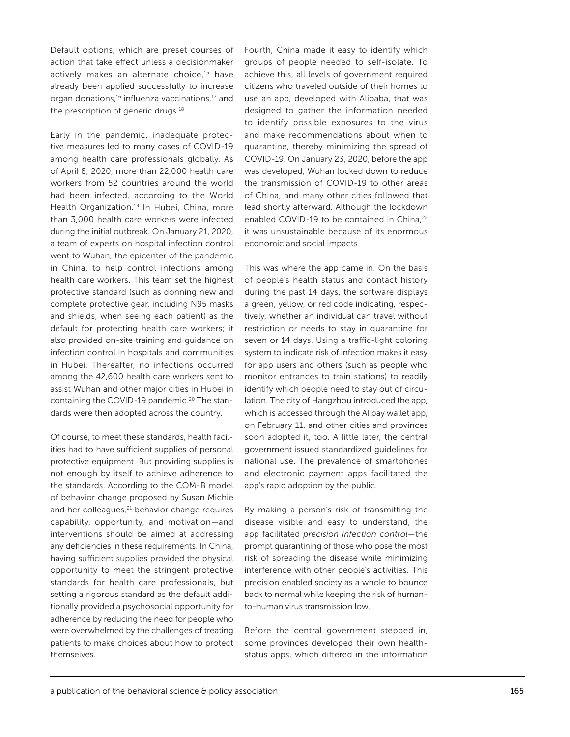Default options, which are preset courses of action that take effect unless a decisionmaker actively makes an alternate choice,<sup>15</sup> have already been applied successfully to increase organ donations,16 influenza vaccinations,17 and the prescription of generic drugs.<sup>18</sup>

Early in the pandemic, inadequate protective measures led to many cases of COVID-19 among health care professionals globally. As of April 8, 2020, more than 22,000 health care workers from 52 countries around the world had been infected, according to the World Health Organization.<sup>19</sup> In Hubei, China, more than 3,000 health care workers were infected during the initial outbreak. On January 21, 2020, a team of experts on hospital infection control went to Wuhan, the epicenter of the pandemic in China, to help control infections among health care workers. This team set the highest protective standard (such as donning new and complete protective gear, including N95 masks and shields, when seeing each patient) as the default for protecting health care workers; it also provided on-site training and guidance on infection control in hospitals and communities in Hubei. Thereafter, no infections occurred among the 42,600 health care workers sent to assist Wuhan and other major cities in Hubei in containing the COVID-19 pandemic.<sup>20</sup> The standards were then adopted across the country.

Of course, to meet these standards, health facilities had to have sufficient supplies of personal protective equipment. But providing supplies is not enough by itself to achieve adherence to the standards. According to the COM-B model of behavior change proposed by Susan Michie and her colleagues, $21$  behavior change requires capability, opportunity, and motivation—and interventions should be aimed at addressing any deficiencies in these requirements. In China, having sufficient supplies provided the physical opportunity to meet the stringent protective standards for health care professionals, but setting a rigorous standard as the default additionally provided a psychosocial opportunity for adherence by reducing the need for people who were overwhelmed by the challenges of treating patients to make choices about how to protect themselves.

Fourth, China made it easy to identify which groups of people needed to self-isolate. To achieve this, all levels of government required citizens who traveled outside of their homes to use an app, developed with Alibaba, that was designed to gather the information needed to identify possible exposures to the virus and make recommendations about when to quarantine, thereby minimizing the spread of COVID-19. On January 23, 2020, before the app was developed, Wuhan locked down to reduce the transmission of COVID-19 to other areas of China, and many other cities followed that lead shortly afterward. Although the lockdown enabled COVID-19 to be contained in China,<sup>22</sup> it was unsustainable because of its enormous economic and social impacts.

This was where the app came in. On the basis of people's health status and contact history during the past 14 days, the software displays a green, yellow, or red code indicating, respectively, whether an individual can travel without restriction or needs to stay in quarantine for seven or 14 days. Using a traffic-light coloring system to indicate risk of infection makes it easy for app users and others (such as people who monitor entrances to train stations) to readily identify which people need to stay out of circulation. The city of Hangzhou introduced the app, which is accessed through the Alipay wallet app, on February 11, and other cities and provinces soon adopted it, too. A little later, the central government issued standardized guidelines for national use. The prevalence of smartphones and electronic payment apps facilitated the app's rapid adoption by the public.

By making a person's risk of transmitting the disease visible and easy to understand, the app facilitated *precision infection control*—the prompt quarantining of those who pose the most risk of spreading the disease while minimizing interference with other people's activities. This precision enabled society as a whole to bounce back to normal while keeping the risk of humanto-human virus transmission low.

Before the central government stepped in, some provinces developed their own healthstatus apps, which differed in the information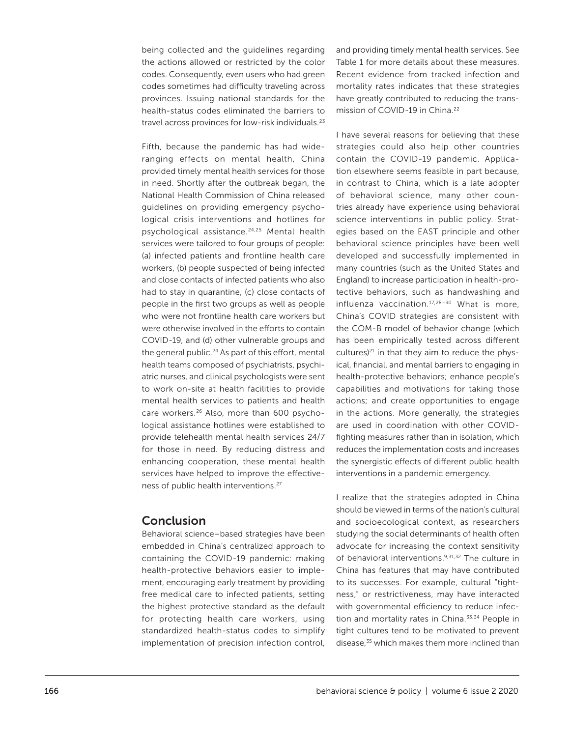being collected and the guidelines regarding the actions allowed or restricted by the color codes. Consequently, even users who had green codes sometimes had difficulty traveling across provinces. Issuing national standards for the health-status codes eliminated the barriers to travel across provinces for low-risk individuals.23

Fifth, because the pandemic has had wideranging effects on mental health, China provided timely mental health services for those in need. Shortly after the outbreak began, the National Health Commission of China released guidelines on providing emergency psychological crisis interventions and hotlines for psychological assistance.24,25 Mental health services were tailored to four groups of people: (a) infected patients and frontline health care workers, (b) people suspected of being infected and close contacts of infected patients who also had to stay in quarantine, (c) close contacts of people in the first two groups as well as people who were not frontline health care workers but were otherwise involved in the efforts to contain COVID-19, and (d) other vulnerable groups and the general public.<sup>24</sup> As part of this effort, mental health teams composed of psychiatrists, psychiatric nurses, and clinical psychologists were sent to work on-site at health facilities to provide mental health services to patients and health care workers.<sup>26</sup> Also, more than 600 psychological assistance hotlines were established to provide telehealth mental health services 24/7 for those in need. By reducing distress and enhancing cooperation, these mental health services have helped to improve the effectiveness of public health interventions.27

#### **Conclusion**

Behavioral science–based strategies have been embedded in China's centralized approach to containing the COVID-19 pandemic: making health-protective behaviors easier to implement, encouraging early treatment by providing free medical care to infected patients, setting the highest protective standard as the default for protecting health care workers, using standardized health-status codes to simplify implementation of precision infection control, and providing timely mental health services. See Table 1 for more details about these measures. Recent evidence from tracked infection and mortality rates indicates that these strategies have greatly contributed to reducing the transmission of COVID-19 in China.<sup>22</sup>

I have several reasons for believing that these strategies could also help other countries contain the COVID-19 pandemic. Application elsewhere seems feasible in part because, in contrast to China, which is a late adopter of behavioral science, many other countries already have experience using behavioral science interventions in public policy. Strategies based on the EAST principle and other behavioral science principles have been well developed and successfully implemented in many countries (such as the United States and England) to increase participation in health-protective behaviors, such as handwashing and influenza vaccination.<sup>17,28-30</sup> What is more, China's COVID strategies are consistent with the COM-B model of behavior change (which has been empirically tested across different cultures) $21$  in that they aim to reduce the physical, financial, and mental barriers to engaging in health-protective behaviors; enhance people's capabilities and motivations for taking those actions; and create opportunities to engage in the actions. More generally, the strategies are used in coordination with other COVIDfighting measures rather than in isolation, which reduces the implementation costs and increases the synergistic effects of different public health interventions in a pandemic emergency.

I realize that the strategies adopted in China should be viewed in terms of the nation's cultural and socioecological context, as researchers studying the social determinants of health often advocate for increasing the context sensitivity of behavioral interventions.9,31,32 The culture in China has features that may have contributed to its successes. For example, cultural "tightness," or restrictiveness, may have interacted with governmental efficiency to reduce infection and mortality rates in China.<sup>33,34</sup> People in tight cultures tend to be motivated to prevent disease,<sup>35</sup> which makes them more inclined than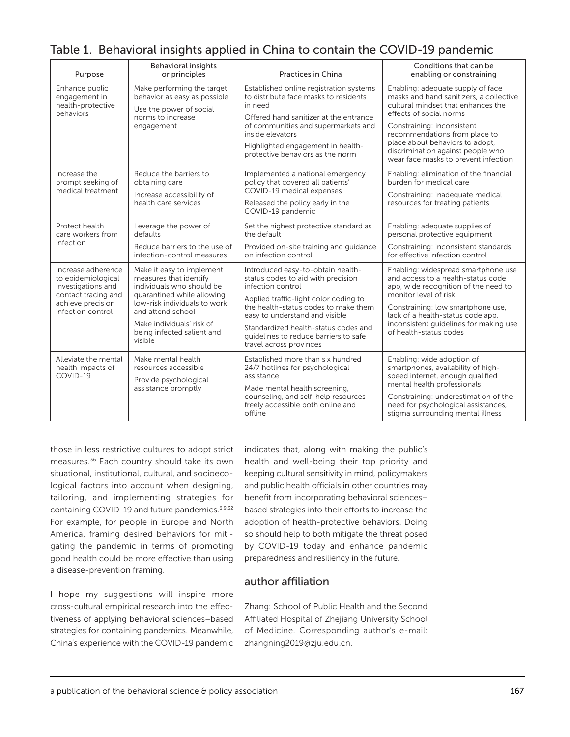| Purpose                                                                                                                         | <b>Behavioral insights</b><br>or principles                                                                                                                                                                                               | <b>Practices in China</b>                                                                                                                                                                                                                                                                                                   | Conditions that can be<br>enabling or constraining                                                                                                                                                                                                                                                                           |
|---------------------------------------------------------------------------------------------------------------------------------|-------------------------------------------------------------------------------------------------------------------------------------------------------------------------------------------------------------------------------------------|-----------------------------------------------------------------------------------------------------------------------------------------------------------------------------------------------------------------------------------------------------------------------------------------------------------------------------|------------------------------------------------------------------------------------------------------------------------------------------------------------------------------------------------------------------------------------------------------------------------------------------------------------------------------|
| Enhance public<br>engagement in<br>health-protective<br>behaviors                                                               | Make performing the target<br>behavior as easy as possible<br>Use the power of social<br>norms to increase<br>engagement                                                                                                                  | Established online registration systems<br>to distribute face masks to residents<br>in need<br>Offered hand sanitizer at the entrance<br>of communities and supermarkets and<br>inside elevators<br>Highlighted engagement in health-<br>protective behaviors as the norm                                                   | Enabling: adequate supply of face<br>masks and hand sanitizers, a collective<br>cultural mindset that enhances the<br>effects of social norms<br>Constraining: inconsistent<br>recommendations from place to<br>place about behaviors to adopt,<br>discrimination against people who<br>wear face masks to prevent infection |
| Increase the<br>prompt seeking of<br>medical treatment                                                                          | Reduce the barriers to<br>obtaining care<br>Increase accessibility of<br>health care services                                                                                                                                             | Implemented a national emergency<br>policy that covered all patients'<br>COVID-19 medical expenses<br>Released the policy early in the<br>COVID-19 pandemic                                                                                                                                                                 | Enabling: elimination of the financial<br>burden for medical care<br>Constraining: inadequate medical<br>resources for treating patients                                                                                                                                                                                     |
| Protect health<br>care workers from<br>infection                                                                                | Leverage the power of<br>defaults<br>Reduce barriers to the use of<br>infection-control measures                                                                                                                                          | Set the highest protective standard as<br>the default<br>Provided on-site training and guidance<br>on infection control                                                                                                                                                                                                     | Enabling: adequate supplies of<br>personal protective equipment<br>Constraining: inconsistent standards<br>for effective infection control                                                                                                                                                                                   |
| Increase adherence<br>to epidemiological<br>investigations and<br>contact tracing and<br>achieve precision<br>infection control | Make it easy to implement<br>measures that identify<br>individuals who should be<br>quarantined while allowing<br>low-risk individuals to work<br>and attend school<br>Make individuals' risk of<br>being infected salient and<br>visible | Introduced easy-to-obtain health-<br>status codes to aid with precision<br>infection control<br>Applied traffic-light color coding to<br>the health-status codes to make them<br>easy to understand and visible<br>Standardized health-status codes and<br>quidelines to reduce barriers to safe<br>travel across provinces | Enabling: widespread smartphone use<br>and access to a health-status code<br>app, wide recognition of the need to<br>monitor level of risk<br>Constraining: low smartphone use,<br>lack of a health-status code app,<br>inconsistent quidelines for making use<br>of health-status codes                                     |
| Alleviate the mental<br>health impacts of<br>COVID-19                                                                           | Make mental health<br>resources accessible<br>Provide psychological<br>assistance promptly                                                                                                                                                | Established more than six hundred<br>24/7 hotlines for psychological<br>assistance<br>Made mental health screening,<br>counseling, and self-help resources<br>freely accessible both online and<br>offline                                                                                                                  | Enabling: wide adoption of<br>smartphones, availability of high-<br>speed internet, enough qualified<br>mental health professionals<br>Constraining: underestimation of the<br>need for psychological assistances,<br>stigma surrounding mental illness                                                                      |

## Table 1. Behavioral insights applied in China to contain the COVID-19 pandemic

those in less restrictive cultures to adopt strict measures.36 Each country should take its own situational, institutional, cultural, and socioecological factors into account when designing, tailoring, and implementing strategies for containing COVID-19 and future pandemics.6,9,32 For example, for people in Europe and North America, framing desired behaviors for mitigating the pandemic in terms of promoting good health could be more effective than using a disease-prevention framing.

I hope my suggestions will inspire more cross-cultural empirical research into the effectiveness of applying behavioral sciences–based strategies for containing pandemics. Meanwhile, China's experience with the COVID-19 pandemic indicates that, along with making the public's health and well-being their top priority and keeping cultural sensitivity in mind, policymakers and public health officials in other countries may benefit from incorporating behavioral sciences– based strategies into their efforts to increase the adoption of health-protective behaviors. Doing so should help to both mitigate the threat posed by COVID-19 today and enhance pandemic preparedness and resiliency in the future.

#### author affiliation

Zhang: School of Public Health and the Second Affiliated Hospital of Zhejiang University School of Medicine. Corresponding author's e-mail: zhangning2019@zju.edu.cn.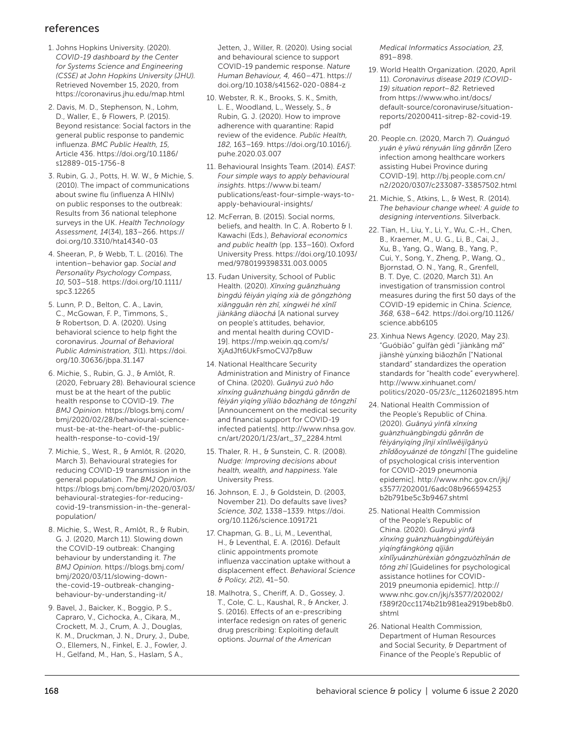### references

- 1. Johns Hopkins University. (2020). *COVID-19 dashboard by the Center for Systems Science and Engineering (CSSE) at John Hopkins University (JHU).*  Retrieved November 15, 2020, from https://coronavirus.jhu.edu/map.html
- 2. Davis, M. D., Stephenson, N., Lohm, D., Waller, E., & Flowers, P. (2015). Beyond resistance: Social factors in the general public response to pandemic influenza. *BMC Public Health, 15,* Article 436. [https://doi.org/10.1186/](https://doi.org/10.1186/s12889-015-1756-8) [s12889-015-1756-8](https://doi.org/10.1186/s12889-015-1756-8)
- 3. Rubin, G. J., Potts, H. W. W., & Michie, S. (2010). The impact of communications about swine flu (influenza A HINIv) on public responses to the outbreak: Results from 36 national telephone surveys in the UK. *Health Technology Assessment, 14*(34), 183–266. [https://](https://doi.org/10.3310/hta14340-03) [doi.org/10.3310/hta14340-03](https://doi.org/10.3310/hta14340-03)
- 4. Sheeran, P., & Webb, T. L. (2016). The intention–behavior gap. *Social and Personality Psychology Compass, 10,* 503–518. [https://doi.org/10.1111/](https://doi.org/10.1111/spc3.12265) [spc3.12265](https://doi.org/10.1111/spc3.12265)
- 5. Lunn, P. D., Belton, C. A., Lavin, C., McGowan, F. P., Timmons, S., & Robertson, D. A. (2020). Using behavioral science to help fight the coronavirus. *Journal of Behavioral Public Administration, 3*(1). [https://doi.](https://doi.org/10.30636/jbpa.31.147) [org/10.30636/jbpa.31.147](https://doi.org/10.30636/jbpa.31.147)
- 6. Michie, S., Rubin, G. J., & Amlôt, R. (2020, February 28). Behavioural science must be at the heart of the public health response to COVID-19. *The BMJ Opinion.* [https://blogs.bmj.com/](https://blogs.bmj.com/bmj/2020/02/28/behavioural-science-must-be-at-the-heart-of-the-public-health-response-to-covid-19/) [bmj/2020/02/28/behavioural-science](https://blogs.bmj.com/bmj/2020/02/28/behavioural-science-must-be-at-the-heart-of-the-public-health-response-to-covid-19/)[must-be-at-the-heart-of-the-public](https://blogs.bmj.com/bmj/2020/02/28/behavioural-science-must-be-at-the-heart-of-the-public-health-response-to-covid-19/)[health-response-to-covid-19/](https://blogs.bmj.com/bmj/2020/02/28/behavioural-science-must-be-at-the-heart-of-the-public-health-response-to-covid-19/)
- 7. Michie, S., West, R., & Amlôt, R. (2020, March 3). Behavioural strategies for reducing COVID-19 transmission in the general population. *The BMJ Opinion.*  [https://blogs.bmj.com/bmj/2020/03/03/](https://blogs.bmj.com/bmj/2020/03/03/behavioural-strategies-for-reducing-covid-19-transmission-in-the-general-population/) [behavioural-strategies-for-reducing](https://blogs.bmj.com/bmj/2020/03/03/behavioural-strategies-for-reducing-covid-19-transmission-in-the-general-population/)[covid-19-transmission-in-the-general](https://blogs.bmj.com/bmj/2020/03/03/behavioural-strategies-for-reducing-covid-19-transmission-in-the-general-population/)[population/](https://blogs.bmj.com/bmj/2020/03/03/behavioural-strategies-for-reducing-covid-19-transmission-in-the-general-population/)
- 8. Michie, S., West, R., Amlôt, R., & Rubin, G. J. (2020, March 11). Slowing down the COVID-19 outbreak: Changing behaviour by understanding it. *The BMJ Opinion.* [https://blogs.bmj.com/](https://blogs.bmj.com/bmj/2020/03/11/slowing-down-the-covid-19-outbreak-changing-behaviour-by-understanding-it/) [bmj/2020/03/11/slowing-down](https://blogs.bmj.com/bmj/2020/03/11/slowing-down-the-covid-19-outbreak-changing-behaviour-by-understanding-it/)[the-covid-19-outbreak-changing](https://blogs.bmj.com/bmj/2020/03/11/slowing-down-the-covid-19-outbreak-changing-behaviour-by-understanding-it/)[behaviour-by-understanding-it/](https://blogs.bmj.com/bmj/2020/03/11/slowing-down-the-covid-19-outbreak-changing-behaviour-by-understanding-it/)
- 9. Bavel, J., Baicker, K., Boggio, P. S., Capraro, V., Cichocka, A., Cikara, M., Crockett, M. J., Crum, A. J., Douglas, K. M., Druckman, J. N., Drury, J., Dube, O., Ellemers, N., Finkel, E. J., Fowler, J. H., Gelfand, M., Han, S., Haslam, S A.,

Jetten, J., Willer, R. (2020). Using social and behavioural science to support COVID-19 pandemic response. *Nature Human Behaviour, 4,* 460–471. [https://](https://doi.org/10.1038/s41562-020-0884-z) [doi.org/10.1038/s41562-020-0884-z](https://doi.org/10.1038/s41562-020-0884-z)

- 10. Webster, R. K., Brooks, S. K., Smith, L. E., Woodland, L., Wessely, S., & Rubin, G. J. (2020). How to improve adherence with quarantine: Rapid review of the evidence. *Public Health, 182,* 163–169. [https://doi.org/10.1016/j.](https://doi.org/10.1016/j.puhe.2020.03.007) [puhe.2020.03.007](https://doi.org/10.1016/j.puhe.2020.03.007)
- 11. Behavioural Insights Team. (2014). *EAST: Four simple ways to apply behavioural insights*. [https://www.bi.team/](https://www.bi.team/publications/east-four-simple-ways-to-apply-behavioural-insights/) [publications/east-four-simple-ways-to](https://www.bi.team/publications/east-four-simple-ways-to-apply-behavioural-insights/)[apply-behavioural-insights/](https://www.bi.team/publications/east-four-simple-ways-to-apply-behavioural-insights/)
- 12. McFerran, B. (2015). Social norms, beliefs, and health. In C. A. Roberto & I. Kawachi (Eds.), *Behavioral economics and public health* (pp. 133–160). Oxford University Press. [https://doi.org/10.1093/](https://doi.org/10.1093/med/9780199398331.003.0005) [med/9780199398331.003.0005](https://doi.org/10.1093/med/9780199398331.003.0005)
- 13. Fudan University, School of Public Health. (2020). *Xīnxíng guānzhuàng bìngdú fèiyán yìqíng xià de gōngzhòng xiāngguān rèn zhī, xíngwéi hé xīnlǐ jiànkāng diàochá* [A national survey on people's attitudes, behavior, and mental health during COVID-19]. [https://mp.weixin.qq.com/s/](https://mp.weixin.qq.com/s/XjAdJft6UkFsmoCVJ7p8uw) [XjAdJft6UkFsmoCVJ7p8uw](https://mp.weixin.qq.com/s/XjAdJft6UkFsmoCVJ7p8uw)
- 14. National Healthcare Security Administration and Ministry of Finance of China. (2020). *Guānyú zuò hǎo xīnxíng guānzhuàng bìngdú gǎnrǎn de fèiyán yìqíng yīliáo bǎozhàng de tōngzhī*  [Announcement on the medical security and financial support for COVID-19 infected patients]. [http://www.nhsa.gov.](http://www.nhsa.gov.cn/art/2020/1/23/art_37_2284.html) [cn/art/2020/1/23/art\\_37\\_2284.html](http://www.nhsa.gov.cn/art/2020/1/23/art_37_2284.html)
- 15. Thaler, R. H., & Sunstein, C. R. (2008). *Nudge: Improving decisions about health, wealth, and happiness*. Yale University Press.
- 16. Johnson, E. J., & Goldstein, D. (2003, November 21). Do defaults save lives? *Science, 302,* 1338–1339. [https://doi.](https://doi.org/10.1126/science.1091721) [org/10.1126/science.1091721](https://doi.org/10.1126/science.1091721)
- 17. Chapman, G. B., Li, M., Leventhal, H., & Leventhal, E. A. (2016). Default clinic appointments promote influenza vaccination uptake without a displacement effect. *Behavioral Science & Policy, 2*(2), 41–50.
- 18. Malhotra, S., Cheriff, A. D., Gossey, J. T., Cole, C. L., Kaushal, R., & Ancker, J. S. (2016). Effects of an e-prescribing interface redesign on rates of generic drug prescribing: Exploiting default options. *Journal of the American*

*Medical Informatics Association, 23,* 891–898.

- 19. World Health Organization. (2020, April 11). *Coronavirus disease 2019 (COVID-19) situation report–82*. Retrieved from https://www.who.int/docs/ default-source/coronaviruse/situationreports/20200411-sitrep-82-covid-19. pdf
- 20. People.cn. (2020, March 7). *Quánguó yuán è yīwù rényuán líng gǎnrǎn* [Zero infection among healthcare workers assisting Hubei Province during COVID-19]. [http://bj.people.com.cn/](http://bj.people.com.cn/n2/2020/0307/c233087-33857502.html) [n2/2020/0307/c233087-33857502.html](http://bj.people.com.cn/n2/2020/0307/c233087-33857502.html)
- 21. Michie, S., Atkins, L., & West, R. (2014). *The behaviour change wheel: A guide to designing interventions*. Silverback.
- 22. Tian, H., Liu, Y., Li, Y., Wu, C.-H., Chen, B., Kraemer, M., U. G., Li, B., Cai, J., Xu, B., Yang, Q., Wang, B., Yang, P., Cui, Y., Song, Y., Zheng, P., Wang, Q., Bjornstad, O. N., Yang, R., Grenfell, B. T. Dye, C. (2020, March 31). An investigation of transmission control measures during the first 50 days of the COVID-19 epidemic in China. *Science, 368,* 638–642. [https://doi.org/10.1126/](https://doi.org/10.1126/science.abb6105) [science.abb6105](https://doi.org/10.1126/science.abb6105)
- 23. Xinhua News Agency. (2020, May 23). "Guóbiāo" guīfàn gèdì "jiànkāng m*ǎ*" jiànshè yùnxíng biāozh*ǔ*n ["National standard" standardizes the operation standards for "health code" everywhere]. [http://www.xinhuanet.com/](http://www.xinhuanet.com/politics/2020-05/23/c_1126021895.htm) [politics/2020-05/23/c\\_1126021895.htm](http://www.xinhuanet.com/politics/2020-05/23/c_1126021895.htm)
- 24. National Health Commission of the People's Republic of China. (2020). *Guānyú yìnfā xīnxíng guànzhuàngbìngdú gǎnrǎn de fèiyányìqíng jǐnjí xīnlǐwēijīgānyù zhǐdǎoyuánzé de tōngzhī* [The guideline of psychological crisis intervention for COVID-2019 pneumonia epidemic]. [http://www.nhc.gov.cn/jkj/](http://www.nhc.gov.cn/jkj/s3577/202001/6adc08b966594253b2b791be5c3b9467.shtml) [s3577/202001/6adc08b966594253](http://www.nhc.gov.cn/jkj/s3577/202001/6adc08b966594253b2b791be5c3b9467.shtml) [b2b791be5c3b9467.shtml](http://www.nhc.gov.cn/jkj/s3577/202001/6adc08b966594253b2b791be5c3b9467.shtml)
- 25. National Health Commission of the People's Republic of China. (2020). *Guānyú yìnfā xīnxíng guànzhuàngbìngdúfèiyán yìqíngfángkòng qījiān xīnlǐyuánzhùrèxiàn gōngzuòzhǐnán de tōng zhī* [Guidelines for psychological assistance hotlines for COVID-2019 pneumonia epidemic]. [http://](http://www.nhc.gov.cn/jkj/s3577/202002/f389f20cc1174b21b981ea2919beb8b0.shtml) [www.nhc.gov.cn/jkj/s3577/202002/](http://www.nhc.gov.cn/jkj/s3577/202002/f389f20cc1174b21b981ea2919beb8b0.shtml) [f389f20cc1174b21b981ea2919beb8b0.](http://www.nhc.gov.cn/jkj/s3577/202002/f389f20cc1174b21b981ea2919beb8b0.shtml) [shtml](http://www.nhc.gov.cn/jkj/s3577/202002/f389f20cc1174b21b981ea2919beb8b0.shtml)
- 26. National Health Commission, Department of Human Resources and Social Security, & Department of Finance of the People's Republic of